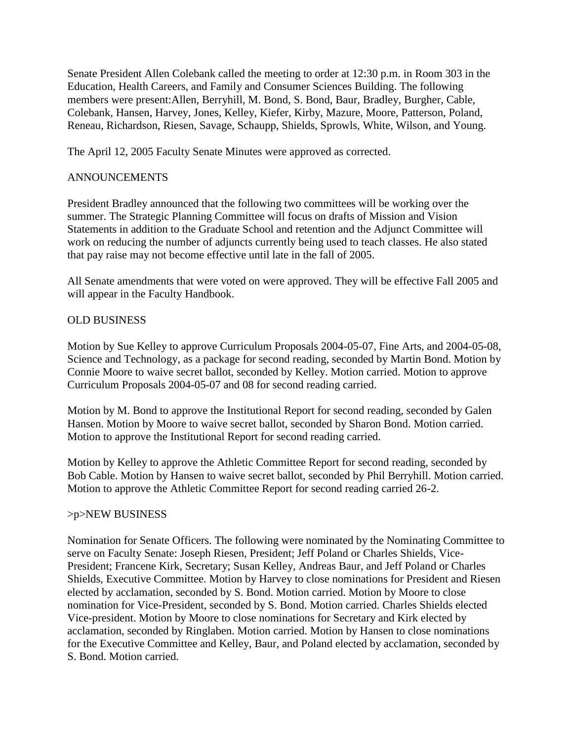Senate President Allen Colebank called the meeting to order at 12:30 p.m. in Room 303 in the Education, Health Careers, and Family and Consumer Sciences Building. The following members were present:Allen, Berryhill, M. Bond, S. Bond, Baur, Bradley, Burgher, Cable, Colebank, Hansen, Harvey, Jones, Kelley, Kiefer, Kirby, Mazure, Moore, Patterson, Poland, Reneau, Richardson, Riesen, Savage, Schaupp, Shields, Sprowls, White, Wilson, and Young.

The April 12, 2005 Faculty Senate Minutes were approved as corrected.

## ANNOUNCEMENTS

President Bradley announced that the following two committees will be working over the summer. The Strategic Planning Committee will focus on drafts of Mission and Vision Statements in addition to the Graduate School and retention and the Adjunct Committee will work on reducing the number of adjuncts currently being used to teach classes. He also stated that pay raise may not become effective until late in the fall of 2005.

All Senate amendments that were voted on were approved. They will be effective Fall 2005 and will appear in the Faculty Handbook.

## OLD BUSINESS

Motion by Sue Kelley to approve Curriculum Proposals 2004-05-07, Fine Arts, and 2004-05-08, Science and Technology, as a package for second reading, seconded by Martin Bond. Motion by Connie Moore to waive secret ballot, seconded by Kelley. Motion carried. Motion to approve Curriculum Proposals 2004-05-07 and 08 for second reading carried.

Motion by M. Bond to approve the Institutional Report for second reading, seconded by Galen Hansen. Motion by Moore to waive secret ballot, seconded by Sharon Bond. Motion carried. Motion to approve the Institutional Report for second reading carried.

Motion by Kelley to approve the Athletic Committee Report for second reading, seconded by Bob Cable. Motion by Hansen to waive secret ballot, seconded by Phil Berryhill. Motion carried. Motion to approve the Athletic Committee Report for second reading carried 26-2.

## >p>NEW BUSINESS

Nomination for Senate Officers. The following were nominated by the Nominating Committee to serve on Faculty Senate: Joseph Riesen, President; Jeff Poland or Charles Shields, Vice-President; Francene Kirk, Secretary; Susan Kelley, Andreas Baur, and Jeff Poland or Charles Shields, Executive Committee. Motion by Harvey to close nominations for President and Riesen elected by acclamation, seconded by S. Bond. Motion carried. Motion by Moore to close nomination for Vice-President, seconded by S. Bond. Motion carried. Charles Shields elected Vice-president. Motion by Moore to close nominations for Secretary and Kirk elected by acclamation, seconded by Ringlaben. Motion carried. Motion by Hansen to close nominations for the Executive Committee and Kelley, Baur, and Poland elected by acclamation, seconded by S. Bond. Motion carried.